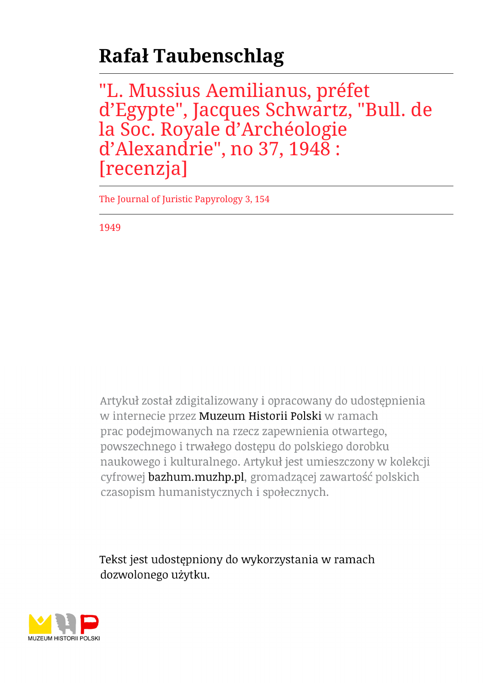## **Rafał Taubenschlag**

"L. Mussius Aemilianus, préfet d'Egypte", Jacques Schwartz, "Bull. de la Soc. Royale d'Archéologie d'Alexandrie", no 37, 1948 : [recenzja]

The Journal of Juristic Papyrology 3, 154

1949

Artykuł został zdigitalizowany i opracowany do udostępnienia w internecie przez Muzeum Historii Polski w ramach prac podejmowanych na rzecz zapewnienia otwartego, powszechnego i trwałego dostępu do polskiego dorobku naukowego i kulturalnego. Artykuł jest umieszczony w kolekcji cyfrowej bazhum.muzhp.pl, gromadzącej zawartość polskich czasopism humanistycznych i społecznych.

Tekst jest udostępniony do wykorzystania w ramach dozwolonego użytku.